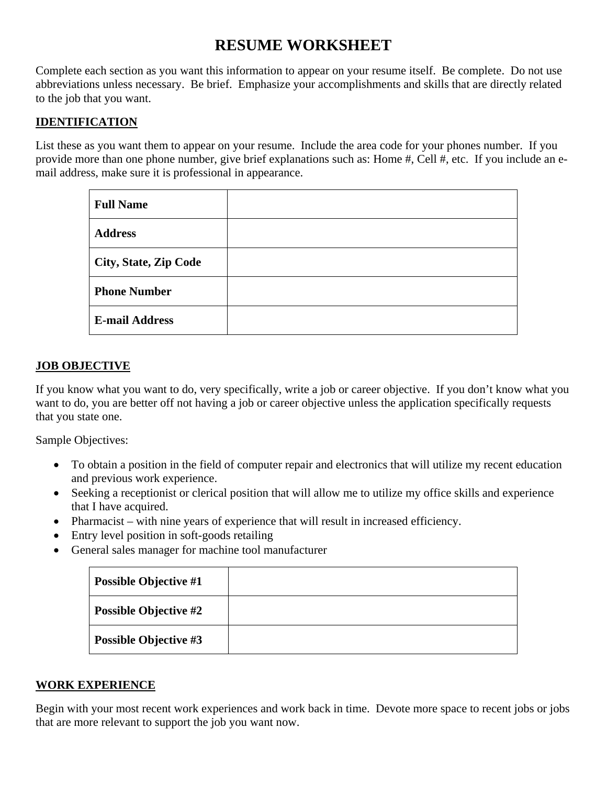# **RESUME WORKSHEET**

Complete each section as you want this information to appear on your resume itself. Be complete. Do not use abbreviations unless necessary. Be brief. Emphasize your accomplishments and skills that are directly related to the job that you want.

## **IDENTIFICATION**

List these as you want them to appear on your resume. Include the area code for your phones number. If you provide more than one phone number, give brief explanations such as: Home #, Cell #, etc. If you include an email address, make sure it is professional in appearance.

| <b>Full Name</b>             |  |
|------------------------------|--|
| <b>Address</b>               |  |
| <b>City, State, Zip Code</b> |  |
| <b>Phone Number</b>          |  |
| <b>E-mail Address</b>        |  |

## **JOB OBJECTIVE**

If you know what you want to do, very specifically, write a job or career objective. If you don't know what you want to do, you are better off not having a job or career objective unless the application specifically requests that you state one.

Sample Objectives:

- To obtain a position in the field of computer repair and electronics that will utilize my recent education and previous work experience.
- Seeking a receptionist or clerical position that will allow me to utilize my office skills and experience that I have acquired.
- Pharmacist with nine years of experience that will result in increased efficiency.
- Entry level position in soft-goods retailing
- General sales manager for machine tool manufacturer

| <b>Possible Objective #1</b> |  |
|------------------------------|--|
| <b>Possible Objective #2</b> |  |
| <b>Possible Objective #3</b> |  |

#### **WORK EXPERIENCE**

Begin with your most recent work experiences and work back in time. Devote more space to recent jobs or jobs that are more relevant to support the job you want now.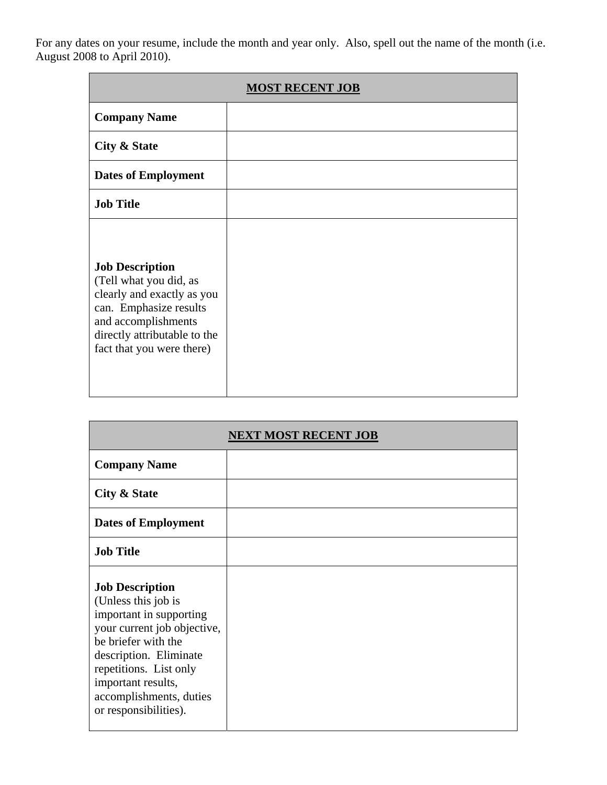For any dates on your resume, include the month and year only. Also, spell out the name of the month (i.e. August 2008 to April 2010).

| <b>MOST RECENT JOB</b>                                                                                                                                                                       |  |
|----------------------------------------------------------------------------------------------------------------------------------------------------------------------------------------------|--|
| <b>Company Name</b>                                                                                                                                                                          |  |
| City & State                                                                                                                                                                                 |  |
| <b>Dates of Employment</b>                                                                                                                                                                   |  |
| <b>Job Title</b>                                                                                                                                                                             |  |
| <b>Job Description</b><br>(Tell what you did, as<br>clearly and exactly as you<br>can. Emphasize results<br>and accomplishments<br>directly attributable to the<br>fact that you were there) |  |

|                                                                                                                                                                                                                                                              | <b>NEXT MOST RECENT JOB</b> |
|--------------------------------------------------------------------------------------------------------------------------------------------------------------------------------------------------------------------------------------------------------------|-----------------------------|
| <b>Company Name</b>                                                                                                                                                                                                                                          |                             |
| City & State                                                                                                                                                                                                                                                 |                             |
| <b>Dates of Employment</b>                                                                                                                                                                                                                                   |                             |
| <b>Job Title</b>                                                                                                                                                                                                                                             |                             |
| <b>Job Description</b><br>(Unless this job is<br>important in supporting<br>your current job objective,<br>be briefer with the<br>description. Eliminate<br>repetitions. List only<br>important results,<br>accomplishments, duties<br>or responsibilities). |                             |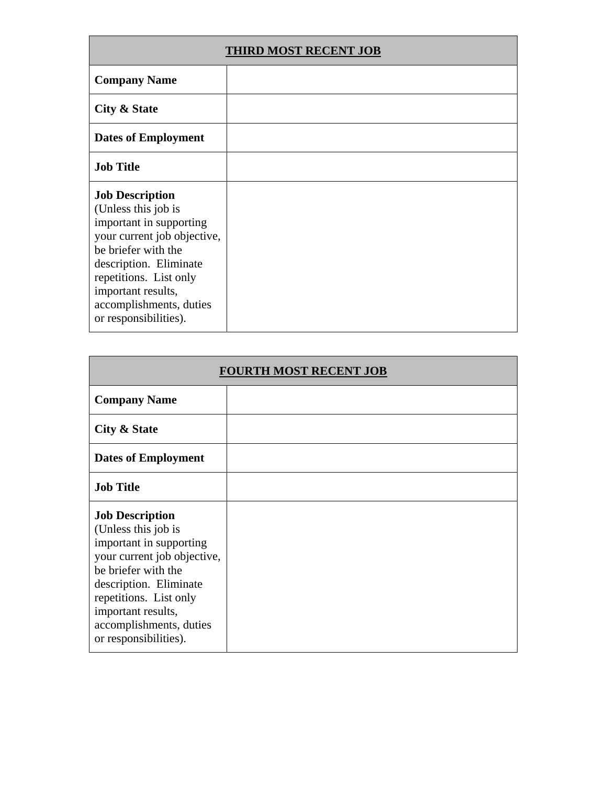| <b>THIRD MOST RECENT JOB</b>                                                                                                                                                                                                                                 |  |
|--------------------------------------------------------------------------------------------------------------------------------------------------------------------------------------------------------------------------------------------------------------|--|
| <b>Company Name</b>                                                                                                                                                                                                                                          |  |
| City & State                                                                                                                                                                                                                                                 |  |
| <b>Dates of Employment</b>                                                                                                                                                                                                                                   |  |
| <b>Job Title</b>                                                                                                                                                                                                                                             |  |
| <b>Job Description</b><br>(Unless this job is<br>important in supporting<br>your current job objective,<br>be briefer with the<br>description. Eliminate<br>repetitions. List only<br>important results,<br>accomplishments, duties<br>or responsibilities). |  |

| <b>FOURTH MOST RECENT JOB</b>                                                                                                                                                                                                                                |  |
|--------------------------------------------------------------------------------------------------------------------------------------------------------------------------------------------------------------------------------------------------------------|--|
| <b>Company Name</b>                                                                                                                                                                                                                                          |  |
| City & State                                                                                                                                                                                                                                                 |  |
| <b>Dates of Employment</b>                                                                                                                                                                                                                                   |  |
| <b>Job Title</b>                                                                                                                                                                                                                                             |  |
| <b>Job Description</b><br>(Unless this job is<br>important in supporting<br>your current job objective,<br>be briefer with the<br>description. Eliminate<br>repetitions. List only<br>important results,<br>accomplishments, duties<br>or responsibilities). |  |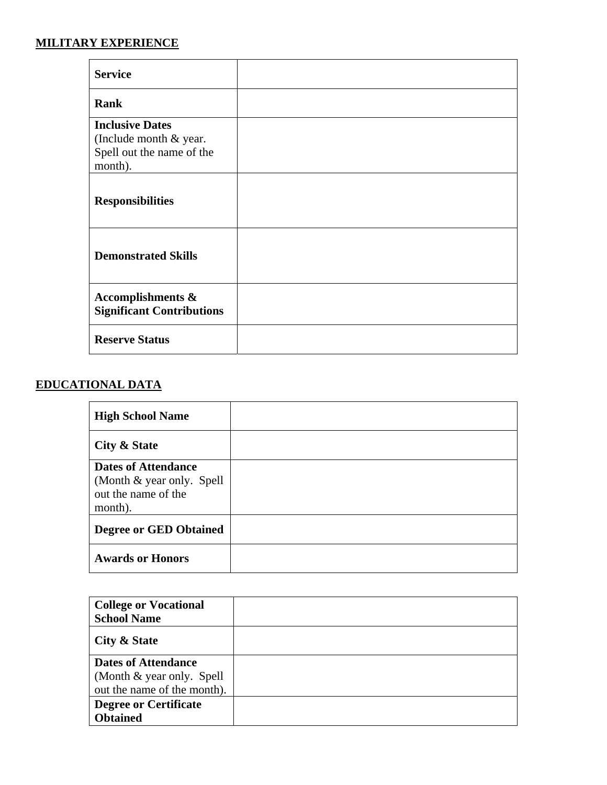## **MILITARY EXPERIENCE**

| <b>Service</b>                                                                           |  |
|------------------------------------------------------------------------------------------|--|
| <b>Rank</b>                                                                              |  |
| <b>Inclusive Dates</b><br>(Include month & year.<br>Spell out the name of the<br>month). |  |
| <b>Responsibilities</b>                                                                  |  |
| <b>Demonstrated Skills</b>                                                               |  |
| Accomplishments &<br><b>Significant Contributions</b>                                    |  |
| <b>Reserve Status</b>                                                                    |  |

# **EDUCATIONAL DATA**

| <b>High School Name</b>                                                                    |  |
|--------------------------------------------------------------------------------------------|--|
| City & State                                                                               |  |
| <b>Dates of Attendance</b><br>(Month & year only. Spell)<br>out the name of the<br>month). |  |
| <b>Degree or GED Obtained</b>                                                              |  |
| <b>Awards or Honors</b>                                                                    |  |

| <b>College or Vocational</b> |  |
|------------------------------|--|
| <b>School Name</b>           |  |
| City & State                 |  |
| <b>Dates of Attendance</b>   |  |
| (Month & year only. Spell)   |  |
| out the name of the month).  |  |
| <b>Degree or Certificate</b> |  |
| <b>Obtained</b>              |  |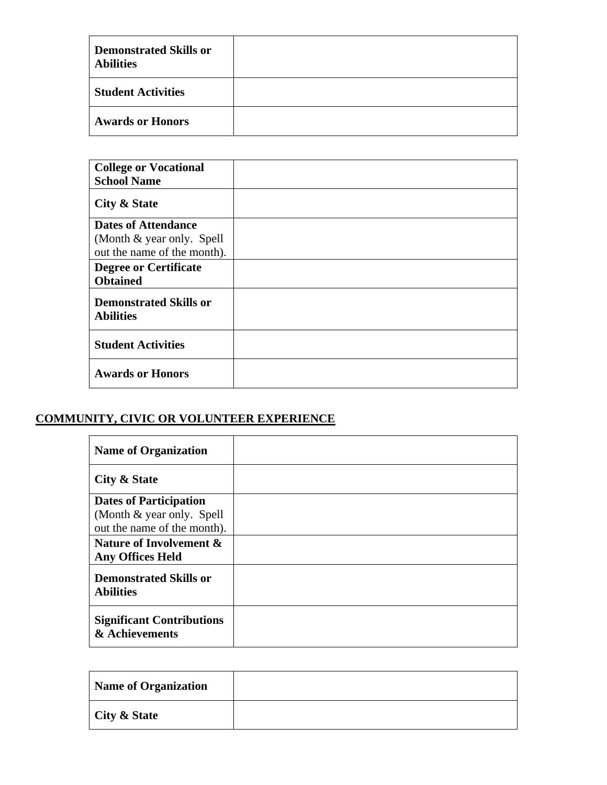| <b>Demonstrated Skills or</b><br><b>Abilities</b> |  |
|---------------------------------------------------|--|
| <b>Student Activities</b>                         |  |
| <b>Awards or Honors</b>                           |  |

| <b>College or Vocational</b>                      |  |
|---------------------------------------------------|--|
| <b>School Name</b>                                |  |
| City & State                                      |  |
| <b>Dates of Attendance</b>                        |  |
| (Month & year only. Spell)                        |  |
| out the name of the month).                       |  |
| <b>Degree or Certificate</b>                      |  |
| <b>Obtained</b>                                   |  |
| <b>Demonstrated Skills or</b><br><b>Abilities</b> |  |
| <b>Student Activities</b>                         |  |
| <b>Awards or Honors</b>                           |  |

# **COMMUNITY, CIVIC OR VOLUNTEER EXPERIENCE**

| <b>Name of Organization</b>                                                                                           |  |
|-----------------------------------------------------------------------------------------------------------------------|--|
| City & State                                                                                                          |  |
| <b>Dates of Participation</b><br>(Month & year only. Spell)<br>out the name of the month).<br>Nature of Involvement & |  |
| <b>Any Offices Held</b><br><b>Demonstrated Skills or</b><br><b>Abilities</b>                                          |  |
| <b>Significant Contributions</b><br>& Achievements                                                                    |  |

| <b>Name of Organization</b> |  |
|-----------------------------|--|
| City & State                |  |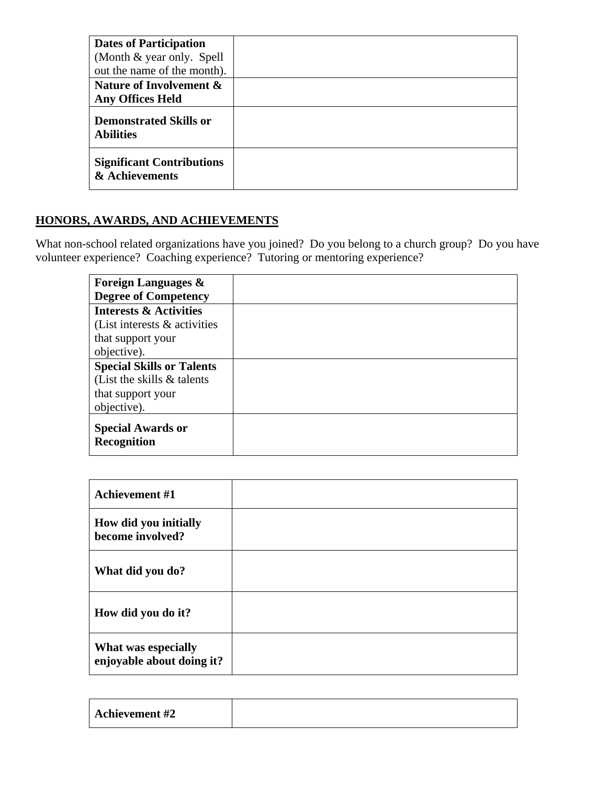| <b>Dates of Participation</b>                      |  |
|----------------------------------------------------|--|
| (Month & year only. Spell)                         |  |
| out the name of the month).                        |  |
| Nature of Involvement &                            |  |
| <b>Any Offices Held</b>                            |  |
| <b>Demonstrated Skills or</b><br><b>Abilities</b>  |  |
| <b>Significant Contributions</b><br>& Achievements |  |

# **HONORS, AWARDS, AND ACHIEVEMENTS**

What non-school related organizations have you joined? Do you belong to a church group? Do you have volunteer experience? Coaching experience? Tutoring or mentoring experience?

| <b>Foreign Languages &amp;</b><br><b>Degree of Competency</b> |  |
|---------------------------------------------------------------|--|
| <b>Interests &amp; Activities</b>                             |  |
| (List interests $\&$ activities                               |  |
| that support your                                             |  |
| objective).                                                   |  |
| <b>Special Skills or Talents</b>                              |  |
| (List the skills $\&$ talents                                 |  |
| that support your                                             |  |
| objective).                                                   |  |
| <b>Special Awards or</b><br><b>Recognition</b>                |  |

| <b>Achievement #1</b>                            |  |
|--------------------------------------------------|--|
| How did you initially<br>become involved?        |  |
| What did you do?                                 |  |
| How did you do it?                               |  |
| What was especially<br>enjoyable about doing it? |  |

| <b>Achievement #2</b> |  |
|-----------------------|--|
|                       |  |